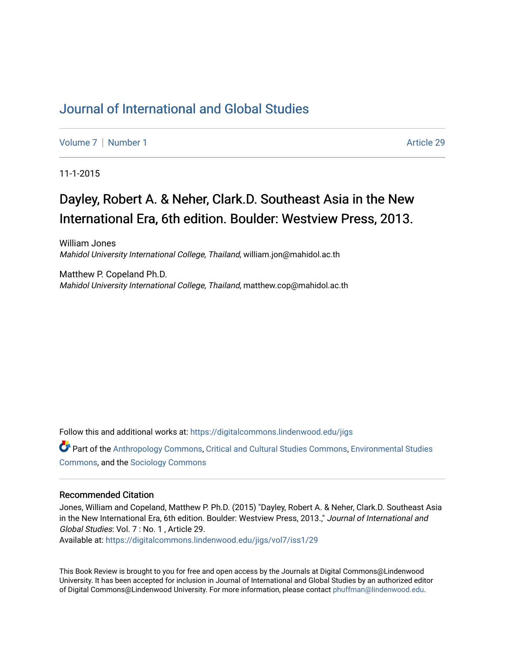## [Journal of International and Global Studies](https://digitalcommons.lindenwood.edu/jigs)

[Volume 7](https://digitalcommons.lindenwood.edu/jigs/vol7) | [Number 1](https://digitalcommons.lindenwood.edu/jigs/vol7/iss1) Article 29

11-1-2015

## Dayley, Robert A. & Neher, Clark.D. Southeast Asia in the New International Era, 6th edition. Boulder: Westview Press, 2013.

William Jones Mahidol University International College, Thailand, william.jon@mahidol.ac.th

Matthew P. Copeland Ph.D. Mahidol University International College, Thailand, matthew.cop@mahidol.ac.th

Follow this and additional works at: [https://digitalcommons.lindenwood.edu/jigs](https://digitalcommons.lindenwood.edu/jigs?utm_source=digitalcommons.lindenwood.edu%2Fjigs%2Fvol7%2Fiss1%2F29&utm_medium=PDF&utm_campaign=PDFCoverPages) 

Part of the [Anthropology Commons](http://network.bepress.com/hgg/discipline/318?utm_source=digitalcommons.lindenwood.edu%2Fjigs%2Fvol7%2Fiss1%2F29&utm_medium=PDF&utm_campaign=PDFCoverPages), [Critical and Cultural Studies Commons](http://network.bepress.com/hgg/discipline/328?utm_source=digitalcommons.lindenwood.edu%2Fjigs%2Fvol7%2Fiss1%2F29&utm_medium=PDF&utm_campaign=PDFCoverPages), [Environmental Studies](http://network.bepress.com/hgg/discipline/1333?utm_source=digitalcommons.lindenwood.edu%2Fjigs%2Fvol7%2Fiss1%2F29&utm_medium=PDF&utm_campaign=PDFCoverPages)  [Commons](http://network.bepress.com/hgg/discipline/1333?utm_source=digitalcommons.lindenwood.edu%2Fjigs%2Fvol7%2Fiss1%2F29&utm_medium=PDF&utm_campaign=PDFCoverPages), and the [Sociology Commons](http://network.bepress.com/hgg/discipline/416?utm_source=digitalcommons.lindenwood.edu%2Fjigs%2Fvol7%2Fiss1%2F29&utm_medium=PDF&utm_campaign=PDFCoverPages)

## Recommended Citation

Jones, William and Copeland, Matthew P. Ph.D. (2015) "Dayley, Robert A. & Neher, Clark.D. Southeast Asia in the New International Era, 6th edition. Boulder: Westview Press, 2013.," Journal of International and Global Studies: Vol. 7 : No. 1 , Article 29.

Available at: [https://digitalcommons.lindenwood.edu/jigs/vol7/iss1/29](https://digitalcommons.lindenwood.edu/jigs/vol7/iss1/29?utm_source=digitalcommons.lindenwood.edu%2Fjigs%2Fvol7%2Fiss1%2F29&utm_medium=PDF&utm_campaign=PDFCoverPages) 

This Book Review is brought to you for free and open access by the Journals at Digital Commons@Lindenwood University. It has been accepted for inclusion in Journal of International and Global Studies by an authorized editor of Digital Commons@Lindenwood University. For more information, please contact [phuffman@lindenwood.edu](mailto:phuffman@lindenwood.edu).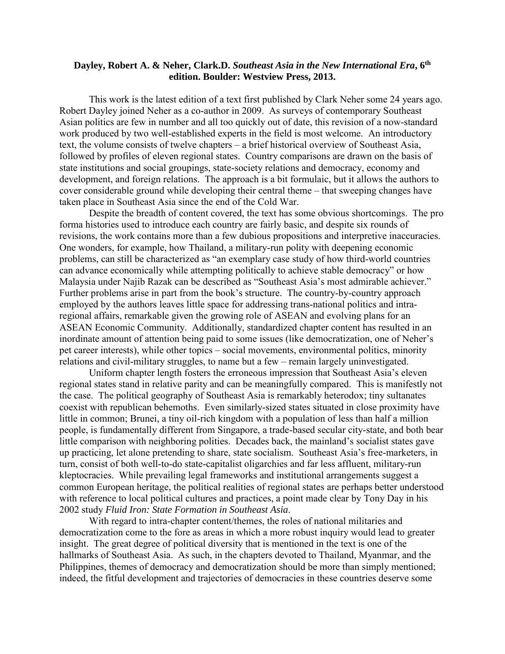## **Dayley, Robert A. & Neher, Clark.D.** *Southeast Asia in the New International Era***, 6th edition. Boulder: Westview Press, 2013.**

 This work is the latest edition of a text first published by Clark Neher some 24 years ago. Robert Dayley joined Neher as a co-author in 2009. As surveys of contemporary Southeast Asian politics are few in number and all too quickly out of date, this revision of a now-standard work produced by two well-established experts in the field is most welcome. An introductory text, the volume consists of twelve chapters – a brief historical overview of Southeast Asia, followed by profiles of eleven regional states. Country comparisons are drawn on the basis of state institutions and social groupings, state-society relations and democracy, economy and development, and foreign relations. The approach is a bit formulaic, but it allows the authors to cover considerable ground while developing their central theme – that sweeping changes have taken place in Southeast Asia since the end of the Cold War.

 Despite the breadth of content covered, the text has some obvious shortcomings. The pro forma histories used to introduce each country are fairly basic, and despite six rounds of revisions, the work contains more than a few dubious propositions and interpretive inaccuracies. One wonders, for example, how Thailand, a military-run polity with deepening economic problems, can still be characterized as "an exemplary case study of how third-world countries can advance economically while attempting politically to achieve stable democracy" or how Malaysia under Najib Razak can be described as "Southeast Asia's most admirable achiever." Further problems arise in part from the book's structure. The country-by-country approach employed by the authors leaves little space for addressing trans-national politics and intraregional affairs, remarkable given the growing role of ASEAN and evolving plans for an ASEAN Economic Community. Additionally, standardized chapter content has resulted in an inordinate amount of attention being paid to some issues (like democratization, one of Neher's pet career interests), while other topics – social movements, environmental politics, minority relations and civil-military struggles, to name but a few – remain largely uninvestigated.

 Uniform chapter length fosters the erroneous impression that Southeast Asia's eleven regional states stand in relative parity and can be meaningfully compared. This is manifestly not the case. The political geography of Southeast Asia is remarkably heterodox; tiny sultanates coexist with republican behemoths. Even similarly-sized states situated in close proximity have little in common; Brunei, a tiny oil-rich kingdom with a population of less than half a million people, is fundamentally different from Singapore, a trade-based secular city-state, and both bear little comparison with neighboring polities. Decades back, the mainland's socialist states gave up practicing, let alone pretending to share, state socialism. Southeast Asia's free-marketers, in turn, consist of both well-to-do state-capitalist oligarchies and far less affluent, military-run kleptocracies. While prevailing legal frameworks and institutional arrangements suggest a common European heritage, the political realities of regional states are perhaps better understood with reference to local political cultures and practices, a point made clear by Tony Day in his 2002 study *Fluid Iron: State Formation in Southeast Asia*.

 With regard to intra-chapter content/themes, the roles of national militaries and democratization come to the fore as areas in which a more robust inquiry would lead to greater insight. The great degree of political diversity that is mentioned in the text is one of the hallmarks of Southeast Asia. As such, in the chapters devoted to Thailand, Myanmar, and the Philippines, themes of democracy and democratization should be more than simply mentioned; indeed, the fitful development and trajectories of democracies in these countries deserve some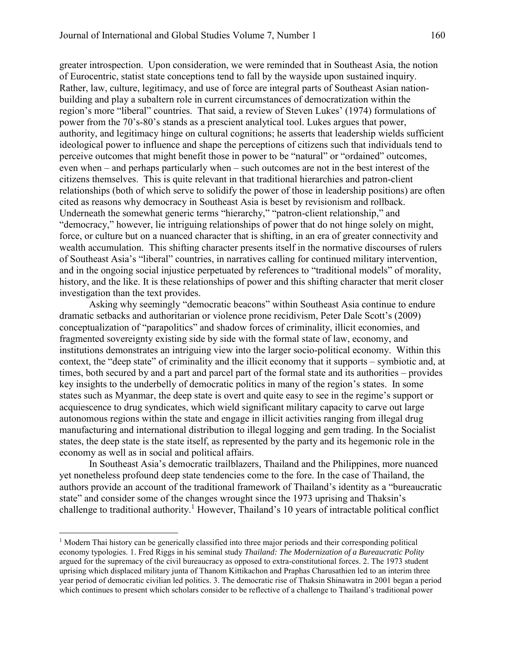greater introspection. Upon consideration, we were reminded that in Southeast Asia, the notion of Eurocentric, statist state conceptions tend to fall by the wayside upon sustained inquiry. Rather, law, culture, legitimacy, and use of force are integral parts of Southeast Asian nationbuilding and play a subaltern role in current circumstances of democratization within the region's more "liberal" countries. That said, a review of Steven Lukes' (1974) formulations of power from the 70's-80's stands as a prescient analytical tool. Lukes argues that power, authority, and legitimacy hinge on cultural cognitions; he asserts that leadership wields sufficient ideological power to influence and shape the perceptions of citizens such that individuals tend to perceive outcomes that might benefit those in power to be "natural" or "ordained" outcomes, even when – and perhaps particularly when – such outcomes are not in the best interest of the citizens themselves. This is quite relevant in that traditional hierarchies and patron-client relationships (both of which serve to solidify the power of those in leadership positions) are often cited as reasons why democracy in Southeast Asia is beset by revisionism and rollback. Underneath the somewhat generic terms "hierarchy," "patron-client relationship," and "democracy," however, lie intriguing relationships of power that do not hinge solely on might, force, or culture but on a nuanced character that is shifting, in an era of greater connectivity and wealth accumulation. This shifting character presents itself in the normative discourses of rulers of Southeast Asia's "liberal" countries, in narratives calling for continued military intervention, and in the ongoing social injustice perpetuated by references to "traditional models" of morality, history, and the like. It is these relationships of power and this shifting character that merit closer investigation than the text provides.

Asking why seemingly "democratic beacons" within Southeast Asia continue to endure dramatic setbacks and authoritarian or violence prone recidivism, Peter Dale Scott's (2009) conceptualization of "parapolitics" and shadow forces of criminality, illicit economies, and fragmented sovereignty existing side by side with the formal state of law, economy, and institutions demonstrates an intriguing view into the larger socio-political economy. Within this context, the "deep state" of criminality and the illicit economy that it supports – symbiotic and, at times, both secured by and a part and parcel part of the formal state and its authorities – provides key insights to the underbelly of democratic politics in many of the region's states. In some states such as Myanmar, the deep state is overt and quite easy to see in the regime's support or acquiescence to drug syndicates, which wield significant military capacity to carve out large autonomous regions within the state and engage in illicit activities ranging from illegal drug manufacturing and international distribution to illegal logging and gem trading. In the Socialist states, the deep state is the state itself, as represented by the party and its hegemonic role in the economy as well as in social and political affairs.

In Southeast Asia's democratic trailblazers, Thailand and the Philippines, more nuanced yet nonetheless profound deep state tendencies come to the fore. In the case of Thailand, the authors provide an account of the traditional framework of Thailand's identity as a "bureaucratic state" and consider some of the changes wrought since the 1973 uprising and Thaksin's challenge to traditional authority.<sup>1</sup> However, Thailand's 10 years of intractable political conflict

l

<sup>&</sup>lt;sup>1</sup> Modern Thai history can be generically classified into three major periods and their corresponding political economy typologies. 1. Fred Riggs in his seminal study *Thailand: The Modernization of a Bureaucratic Polity* argued for the supremacy of the civil bureaucracy as opposed to extra-constitutional forces. 2. The 1973 student uprising which displaced military junta of Thanom Kittikachon and Praphas Charusathien led to an interim three year period of democratic civilian led politics. 3. The democratic rise of Thaksin Shinawatra in 2001 began a period which continues to present which scholars consider to be reflective of a challenge to Thailand's traditional power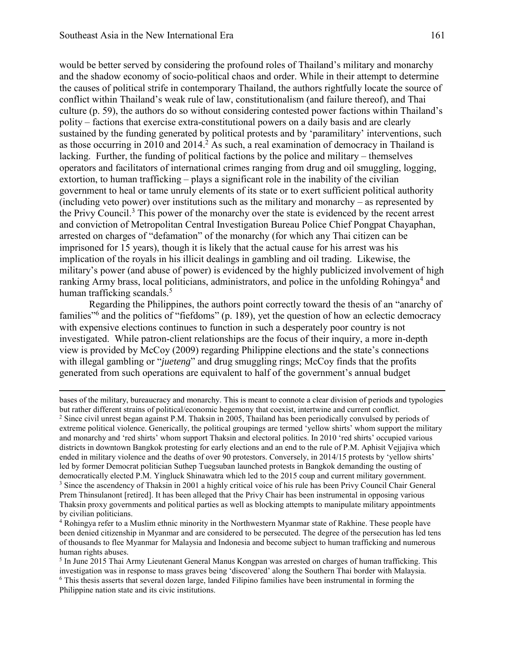would be better served by considering the profound roles of Thailand's military and monarchy and the shadow economy of socio-political chaos and order. While in their attempt to determine the causes of political strife in contemporary Thailand, the authors rightfully locate the source of conflict within Thailand's weak rule of law, constitutionalism (and failure thereof), and Thai culture (p. 59), the authors do so without considering contested power factions within Thailand's polity – factions that exercise extra-constitutional powers on a daily basis and are clearly sustained by the funding generated by political protests and by 'paramilitary' interventions, such as those occurring in  $2010$  and  $2014$ .<sup>2</sup> As such, a real examination of democracy in Thailand is lacking. Further, the funding of political factions by the police and military – themselves operators and facilitators of international crimes ranging from drug and oil smuggling, logging, extortion, to human trafficking – plays a significant role in the inability of the civilian government to heal or tame unruly elements of its state or to exert sufficient political authority (including veto power) over institutions such as the military and monarchy – as represented by the Privy Council.<sup>3</sup> This power of the monarchy over the state is evidenced by the recent arrest and conviction of Metropolitan Central Investigation Bureau Police Chief Pongpat Chayaphan, arrested on charges of "defamation" of the monarchy (for which any Thai citizen can be imprisoned for 15 years), though it is likely that the actual cause for his arrest was his implication of the royals in his illicit dealings in gambling and oil trading. Likewise, the military's power (and abuse of power) is evidenced by the highly publicized involvement of high ranking Army brass, local politicians, administrators, and police in the unfolding Rohingya<sup>4</sup> and human trafficking scandals.<sup>5</sup>

Regarding the Philippines, the authors point correctly toward the thesis of an "anarchy of families<sup>"6</sup> and the politics of "fiefdoms" (p. 189), yet the question of how an eclectic democracy with expensive elections continues to function in such a desperately poor country is not investigated. While patron-client relationships are the focus of their inquiry, a more in-depth view is provided by McCoy (2009) regarding Philippine elections and the state's connections with illegal gambling or "*jueteng*" and drug smuggling rings; McCoy finds that the profits generated from such operations are equivalent to half of the government's annual budget

l bases of the military, bureaucracy and monarchy. This is meant to connote a clear division of periods and typologies but rather different strains of political/economic hegemony that coexist, intertwine and current conflict. <sup>2</sup> Since civil unrest began against P.M. Thaksin in 2005, Thailand has been periodically convulsed by periods of extreme political violence. Generically, the political groupings are termed 'yellow shirts' whom support the military and monarchy and 'red shirts' whom support Thaksin and electoral politics. In 2010 'red shirts' occupied various districts in downtown Bangkok protesting for early elections and an end to the rule of P.M. Aphisit Vejjajiva which ended in military violence and the deaths of over 90 protestors. Conversely, in 2014/15 protests by 'yellow shirts' led by former Democrat politician Suthep Tuegsuban launched protests in Bangkok demanding the ousting of democratically elected P.M. Yingluck Shinawatra which led to the 2015 coup and current military government. <sup>3</sup> Since the ascendency of Thaksin in 2001 a highly critical voice of his rule has been Privy Council Chair General Prem Thinsulanont [retired]. It has been alleged that the Privy Chair has been instrumental in opposing various Thaksin proxy governments and political parties as well as blocking attempts to manipulate military appointments by civilian politicians.

4 Rohingya refer to a Muslim ethnic minority in the Northwestern Myanmar state of Rakhine. These people have been denied citizenship in Myanmar and are considered to be persecuted. The degree of the persecution has led tens of thousands to flee Myanmar for Malaysia and Indonesia and become subject to human trafficking and numerous human rights abuses.

<sup>5</sup> In June 2015 Thai Army Lieutenant General Manus Kongpan was arrested on charges of human trafficking. This investigation was in response to mass graves being 'discovered' along the Southern Thai border with Malaysia. <sup>6</sup> This thesis asserts that several dozen large, landed Filipino families have been instrumental in forming the Philippine nation state and its civic institutions.